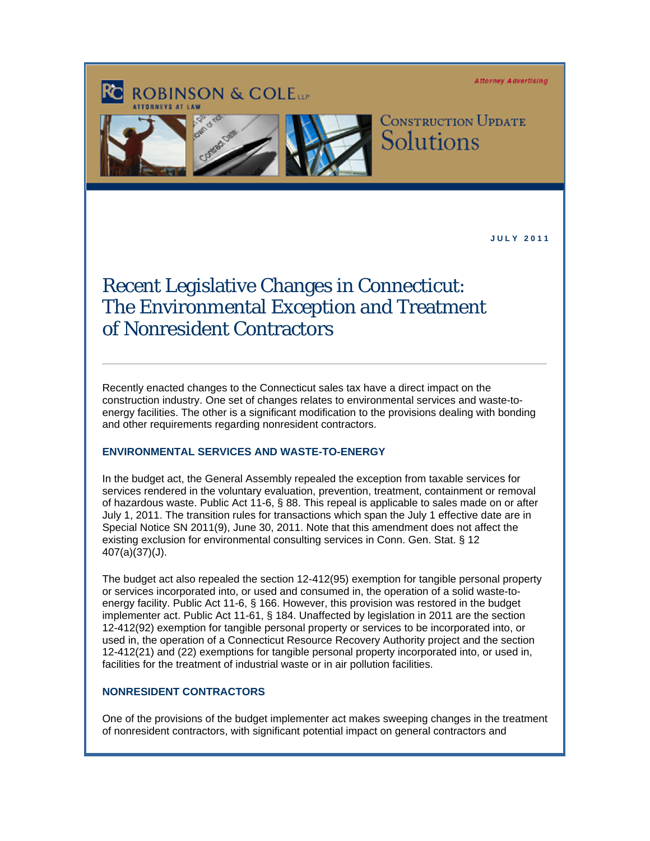**Attorney Advertising** 

# **ROBINSON & COLETT**



**CONSTRUCTION UPDATE** Solutions

 **J U L Y 2 0 1 1** 

# Recent Legislative Changes in Connecticut: The Environmental Exception and Treatment of Nonresident Contractors

Recently enacted changes to the Connecticut sales tax have a direct impact on the construction industry. One set of changes relates to environmental services and waste-toenergy facilities. The other is a significant modification to the provisions dealing with bonding and other requirements regarding nonresident contractors.

# **ENVIRONMENTAL SERVICES AND WASTE-TO-ENERGY**

In the budget act, the General Assembly repealed the exception from taxable services for services rendered in the voluntary evaluation, prevention, treatment, containment or removal of hazardous waste. Public Act 11-6, § 88. This repeal is applicable to sales made on or after July 1, 2011. The transition rules for transactions which span the July 1 effective date are in Special Notice SN 2011(9), June 30, 2011. Note that this amendment does not affect the existing exclusion for environmental consulting services in Conn. Gen. Stat. § 12 407(a)(37)(J).

The budget act also repealed the section 12-412(95) exemption for tangible personal property or services incorporated into, or used and consumed in, the operation of a solid waste-toenergy facility. Public Act 11-6, § 166. However, this provision was restored in the budget implementer act. Public Act 11-61, § 184. Unaffected by legislation in 2011 are the section 12-412(92) exemption for tangible personal property or services to be incorporated into, or used in, the operation of a Connecticut Resource Recovery Authority project and the section 12-412(21) and (22) exemptions for tangible personal property incorporated into, or used in, facilities for the treatment of industrial waste or in air pollution facilities.

# **NONRESIDENT CONTRACTORS**

One of the provisions of the budget implementer act makes sweeping changes in the treatment of nonresident contractors, with significant potential impact on general contractors and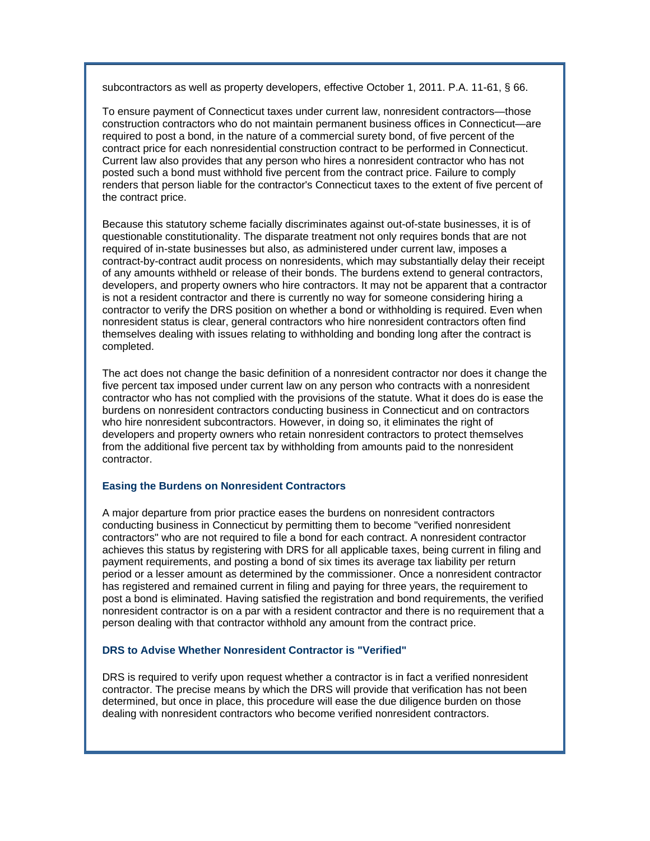subcontractors as well as property developers, effective October 1, 2011. P.A. 11-61, § 66.

To ensure payment of Connecticut taxes under current law, nonresident contractors—those construction contractors who do not maintain permanent business offices in Connecticut—are required to post a bond, in the nature of a commercial surety bond, of five percent of the contract price for each nonresidential construction contract to be performed in Connecticut. Current law also provides that any person who hires a nonresident contractor who has not posted such a bond must withhold five percent from the contract price. Failure to comply renders that person liable for the contractor's Connecticut taxes to the extent of five percent of the contract price.

Because this statutory scheme facially discriminates against out-of-state businesses, it is of questionable constitutionality. The disparate treatment not only requires bonds that are not required of in-state businesses but also, as administered under current law, imposes a contract-by-contract audit process on nonresidents, which may substantially delay their receipt of any amounts withheld or release of their bonds. The burdens extend to general contractors, developers, and property owners who hire contractors. It may not be apparent that a contractor is not a resident contractor and there is currently no way for someone considering hiring a contractor to verify the DRS position on whether a bond or withholding is required. Even when nonresident status is clear, general contractors who hire nonresident contractors often find themselves dealing with issues relating to withholding and bonding long after the contract is completed.

The act does not change the basic definition of a nonresident contractor nor does it change the five percent tax imposed under current law on any person who contracts with a nonresident contractor who has not complied with the provisions of the statute. What it does do is ease the burdens on nonresident contractors conducting business in Connecticut and on contractors who hire nonresident subcontractors. However, in doing so, it eliminates the right of developers and property owners who retain nonresident contractors to protect themselves from the additional five percent tax by withholding from amounts paid to the nonresident contractor.

## **Easing the Burdens on Nonresident Contractors**

A major departure from prior practice eases the burdens on nonresident contractors conducting business in Connecticut by permitting them to become "verified nonresident contractors" who are not required to file a bond for each contract. A nonresident contractor achieves this status by registering with DRS for all applicable taxes, being current in filing and payment requirements, and posting a bond of six times its average tax liability per return period or a lesser amount as determined by the commissioner. Once a nonresident contractor has registered and remained current in filing and paying for three years, the requirement to post a bond is eliminated. Having satisfied the registration and bond requirements, the verified nonresident contractor is on a par with a resident contractor and there is no requirement that a person dealing with that contractor withhold any amount from the contract price.

# **DRS to Advise Whether Nonresident Contractor is "Verified"**

DRS is required to verify upon request whether a contractor is in fact a verified nonresident contractor. The precise means by which the DRS will provide that verification has not been determined, but once in place, this procedure will ease the due diligence burden on those dealing with nonresident contractors who become verified nonresident contractors.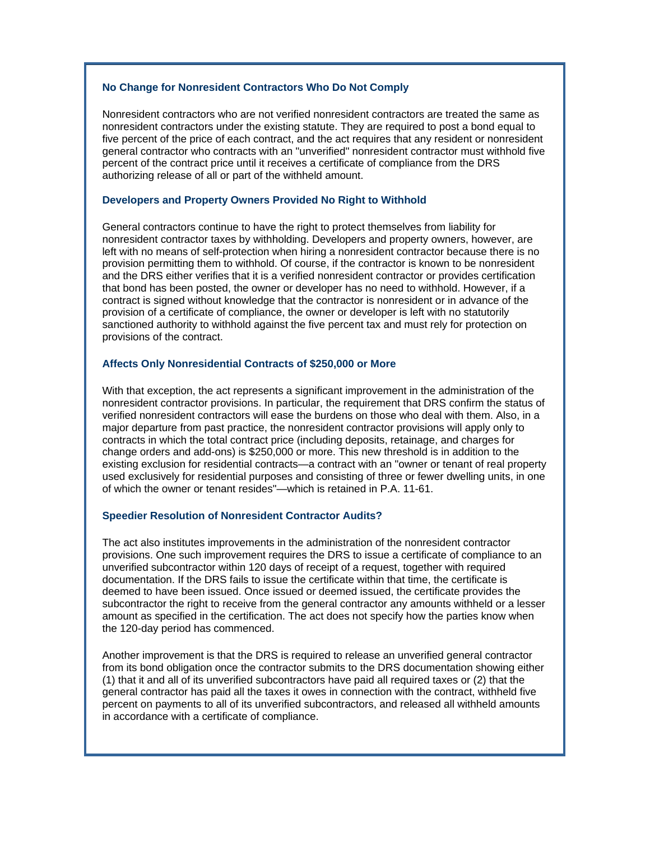## **No Change for Nonresident Contractors Who Do Not Comply**

Nonresident contractors who are not verified nonresident contractors are treated the same as nonresident contractors under the existing statute. They are required to post a bond equal to five percent of the price of each contract, and the act requires that any resident or nonresident general contractor who contracts with an "unverified" nonresident contractor must withhold five percent of the contract price until it receives a certificate of compliance from the DRS authorizing release of all or part of the withheld amount.

## **Developers and Property Owners Provided No Right to Withhold**

General contractors continue to have the right to protect themselves from liability for nonresident contractor taxes by withholding. Developers and property owners, however, are left with no means of self-protection when hiring a nonresident contractor because there is no provision permitting them to withhold. Of course, if the contractor is known to be nonresident and the DRS either verifies that it is a verified nonresident contractor or provides certification that bond has been posted, the owner or developer has no need to withhold. However, if a contract is signed without knowledge that the contractor is nonresident or in advance of the provision of a certificate of compliance, the owner or developer is left with no statutorily sanctioned authority to withhold against the five percent tax and must rely for protection on provisions of the contract.

#### **Affects Only Nonresidential Contracts of \$250,000 or More**

With that exception, the act represents a significant improvement in the administration of the nonresident contractor provisions. In particular, the requirement that DRS confirm the status of verified nonresident contractors will ease the burdens on those who deal with them. Also, in a major departure from past practice, the nonresident contractor provisions will apply only to contracts in which the total contract price (including deposits, retainage, and charges for change orders and add-ons) is \$250,000 or more. This new threshold is in addition to the existing exclusion for residential contracts—a contract with an "owner or tenant of real property used exclusively for residential purposes and consisting of three or fewer dwelling units, in one of which the owner or tenant resides"—which is retained in P.A. 11-61.

#### **Speedier Resolution of Nonresident Contractor Audits?**

The act also institutes improvements in the administration of the nonresident contractor provisions. One such improvement requires the DRS to issue a certificate of compliance to an unverified subcontractor within 120 days of receipt of a request, together with required documentation. If the DRS fails to issue the certificate within that time, the certificate is deemed to have been issued. Once issued or deemed issued, the certificate provides the subcontractor the right to receive from the general contractor any amounts withheld or a lesser amount as specified in the certification. The act does not specify how the parties know when the 120-day period has commenced.

Another improvement is that the DRS is required to release an unverified general contractor from its bond obligation once the contractor submits to the DRS documentation showing either (1) that it and all of its unverified subcontractors have paid all required taxes or (2) that the general contractor has paid all the taxes it owes in connection with the contract, withheld five percent on payments to all of its unverified subcontractors, and released all withheld amounts in accordance with a certificate of compliance.